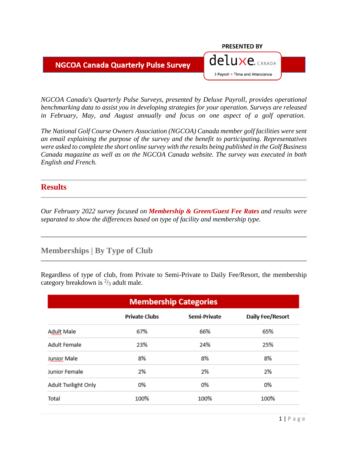#### **NGCOA Canada Quarterly Pulse Survey**

#### *NGCOA Canada's Quarterly Pulse Surveys, presented by Deluxe Payroll, provides operational benchmarking data to assist you in developing strategies for your operation. Surveys are released in February, May, and August annually and focus on one aspect of a golf operation.*

**PRESENTED BY** 

deluxe. CANADA

> Payroll + Time and Attendance

*The National Golf Course Owners Association (NGCOA) Canada member golf facilities were sent an email explaining the purpose of the survey and the benefit to participating. Representatives were asked to complete the short online survey with the results being published in the Golf Business Canada magazine as well as on the NGCOA Canada website. The survey was executed in both English and French.*

### **Results**

*Our February 2022 survey focused on Membership & Green/Guest Fee Rates and results were separated to show the differences based on type of facility and membership type.*

## **Memberships | By Type of Club**

Regardless of type of club, from Private to Semi-Private to Daily Fee/Resort, the membership category breakdown is  $\frac{2}{3}$  adult male.

| <b>Membership Categories</b>                             |      |      |      |  |  |  |  |
|----------------------------------------------------------|------|------|------|--|--|--|--|
| Daily Fee/Resort<br><b>Private Clubs</b><br>Semi-Private |      |      |      |  |  |  |  |
| Adult Male                                               | 67%  | 66%  | 65%  |  |  |  |  |
| Adult Female                                             | 24%  | 25%  |      |  |  |  |  |
| Junior Male                                              | 8%   | 8%   | 8%   |  |  |  |  |
| Junior Female                                            | 2%   | 2%   | 2%   |  |  |  |  |
| Adult Twilight Only                                      | 0%   | 0%   | 0%   |  |  |  |  |
| Total                                                    | 100% | 100% | 100% |  |  |  |  |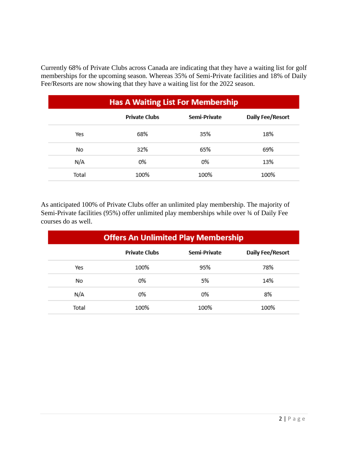Currently 68% of Private Clubs across Canada are indicating that they have a waiting list for golf memberships for the upcoming season. Whereas 35% of Semi-Private facilities and 18% of Daily Fee/Resorts are now showing that they have a waiting list for the 2022 season.

| <b>Has A Waiting List For Membership</b> |                                                          |      |      |  |  |  |
|------------------------------------------|----------------------------------------------------------|------|------|--|--|--|
|                                          | Daily Fee/Resort<br>Semi-Private<br><b>Private Clubs</b> |      |      |  |  |  |
| Yes                                      | 68%                                                      | 35%  | 18%  |  |  |  |
| No                                       | 32%                                                      | 65%  | 69%  |  |  |  |
| N/A                                      | 0%                                                       | 0%   | 13%  |  |  |  |
| Total                                    | 100%                                                     | 100% | 100% |  |  |  |

As anticipated 100% of Private Clubs offer an unlimited play membership. The majority of Semi-Private facilities (95%) offer unlimited play memberships while over  $\frac{3}{4}$  of Daily Fee courses do as well.

| <b>Offers An Unlimited Play Membership</b> |                                                          |      |      |  |  |  |
|--------------------------------------------|----------------------------------------------------------|------|------|--|--|--|
|                                            | Daily Fee/Resort<br><b>Private Clubs</b><br>Semi-Private |      |      |  |  |  |
| Yes                                        | 100%                                                     | 95%  | 78%  |  |  |  |
| No                                         | 0%                                                       | 5%   | 14%  |  |  |  |
| N/A                                        | 0%                                                       | 0%   | 8%   |  |  |  |
| Total                                      | 100%                                                     | 100% | 100% |  |  |  |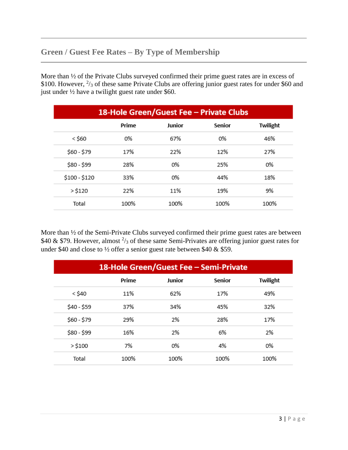# **Green / Guest Fee Rates – By Type of Membership**

More than  $\frac{1}{2}$  of the Private Clubs surveyed confirmed their prime guest rates are in excess of \$100. However,  $\frac{2}{3}$  of these same Private Clubs are offering junior guest rates for under \$60 and just under ½ have a twilight guest rate under \$60.

| 18-Hole Green/Guest Fee - Private Clubs |       |        |        |          |
|-----------------------------------------|-------|--------|--------|----------|
|                                         | Prime | Junior | Senior | Twilight |
| $<$ \$60                                | 0%    | 67%    | 0%     | 46%      |
| \$60 - \$79                             | 17%   | 22%    | 12%    | 27%      |
| \$80 - \$99                             | 28%   | 0%     | 25%    | 0%       |
| \$100 - \$120                           | 33%   | 0%     | 44%    | 18%      |
| $>$ \$120                               | 22%   | 11%    | 19%    | 9%       |
| Total                                   | 100%  | 100%   | 100%   | 100%     |

More than ½ of the Semi-Private Clubs surveyed confirmed their prime guest rates are between \$40 & \$79. However, almost  $\frac{2}{3}$  of these same Semi-Privates are offering junior guest rates for under \$40 and close to  $\frac{1}{2}$  offer a senior guest rate between \$40 & \$59.

| 18-Hole Green/Guest Fee - Semi-Private |       |        |        |          |
|----------------------------------------|-------|--------|--------|----------|
|                                        | Prime | Junior | Senior | Twilight |
| $<$ \$40                               | 11%   | 62%    | 17%    | 49%      |
| \$40 - \$59                            | 37%   | 34%    | 45%    | 32%      |
| \$60 - \$79                            | 29%   | 2%     | 28%    | 17%      |
| \$80 - \$99                            | 16%   | 2%     | 6%     | 2%       |
| $>$ \$100                              | 7%    | 0%     | 4%     | 0%       |
| Total                                  | 100%  | 100%   | 100%   | 100%     |